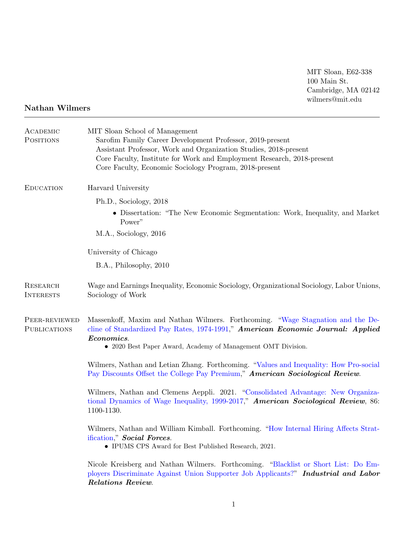MIT Sloan, E62-338 100 Main St. Cambridge, MA 02142 wilmers@mit.edu

## Nathan Wilmers

| ACADEMIC<br><b>POSITIONS</b>         | MIT Sloan School of Management<br>Sarofim Family Career Development Professor, 2019-present<br>Assistant Professor, Work and Organization Studies, 2018-present<br>Core Faculty, Institute for Work and Employment Research, 2018-present<br>Core Faculty, Economic Sociology Program, 2018-present |
|--------------------------------------|-----------------------------------------------------------------------------------------------------------------------------------------------------------------------------------------------------------------------------------------------------------------------------------------------------|
| <b>EDUCATION</b>                     | Harvard University                                                                                                                                                                                                                                                                                  |
|                                      | Ph.D., Sociology, 2018                                                                                                                                                                                                                                                                              |
|                                      | • Dissertation: "The New Economic Segmentation: Work, Inequality, and Market<br>Power"                                                                                                                                                                                                              |
|                                      | M.A., Sociology, 2016                                                                                                                                                                                                                                                                               |
|                                      | University of Chicago                                                                                                                                                                                                                                                                               |
|                                      | B.A., Philosophy, 2010                                                                                                                                                                                                                                                                              |
| <b>RESEARCH</b><br><b>INTERESTS</b>  | Wage and Earnings Inequality, Economic Sociology, Organizational Sociology, Labor Unions,<br>Sociology of Work                                                                                                                                                                                      |
| PEER-REVIEWED<br><b>PUBLICATIONS</b> | Massenkoff, Maxim and Nathan Wilmers. Forthcoming. "Wage Stagnation and the De-<br>cline of Standardized Pay Rates, 1974-1991," American Economic Journal: Applied<br>Economics.<br>• 2020 Best Paper Award, Academy of Management OMT Division.                                                    |
|                                      | Wilmers, Nathan and Letian Zhang. Forthcoming. "Values and Inequality: How Pro-social<br>Pay Discounts Offset the College Pay Premium," American Sociological Review.                                                                                                                               |
|                                      | Wilmers, Nathan and Clemens Aeppli. 2021. "Consolidated Advantage: New Organiza-<br>tional Dynamics of Wage Inequality, 1999-2017," American Sociological Review, 86:<br>1100-1130.                                                                                                                 |
|                                      | Wilmers, Nathan and William Kimball. Forthcoming. "How Internal Hiring Affects Strat-<br>ification," Social Forces.<br>• IPUMS CPS Award for Best Published Research, 2021.                                                                                                                         |
|                                      | Nicole Kreisberg and Nathan Wilmers. Forthcoming. "Blacklist or Short List: Do Em-<br>ployers Discriminate Against Union Supporter Job Applicants?" Industrial and Labor<br>Relations Review.                                                                                                       |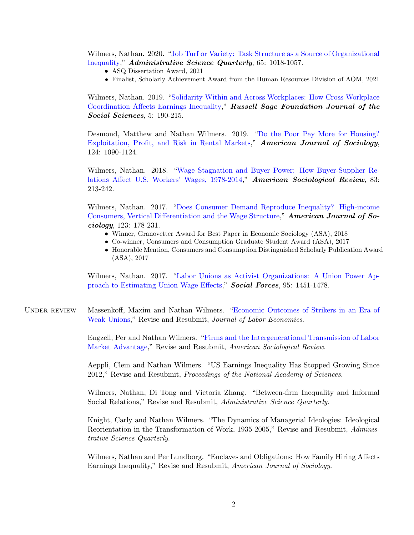Wilmers, Nathan. 2020. ["Job Turf or Variety: Task Structure as a Source of Organizational](https://doi.org/10.1177/0001839220909101) [Inequality,](https://doi.org/10.1177/0001839220909101)" Administrative Science Quarterly, 65: 1018-1057.

- ASQ Dissertation Award, 2021
- Finalist, Scholarly Achievement Award from the Human Resources Division of AOM, 2021

Wilmers, Nathan. 2019. ["Solidarity Within and Across Workplaces: How Cross-Workplace](https://doi.org/10.7758/RSF.2019.5.4.07) [Coordination Affects Earnings Inequality,](https://doi.org/10.7758/RSF.2019.5.4.07)" Russell Sage Foundation Journal of the Social Sciences, 5: 190-215.

Desmond, Matthew and Nathan Wilmers. 2019. ["Do the Poor Pay More for Housing?](https://doi.org/10.1086/701697) [Exploitation, Profit, and Risk in Rental Markets,](https://doi.org/10.1086/701697)" American Journal of Sociology, 124: 1090-1124.

Wilmers, Nathan. 2018. ["Wage Stagnation and Buyer Power: How Buyer-Supplier Re](https://doi.org/10.1177/0003122418762441)[lations Affect U.S. Workers' Wages, 1978-2014,](https://doi.org/10.1177/0003122418762441)" American Sociological Review, 83: 213-242.

Wilmers, Nathan. 2017. ["Does Consumer Demand Reproduce Inequality? High-income](https://doi.org/10.1086/692063) [Consumers, Vertical Differentiation and the Wage Structure,](https://doi.org/10.1086/692063)" American Journal of Sociology, 123: 178-231.

- Winner, Granovetter Award for Best Paper in Economic Sociology (ASA), 2018
- Co-winner, Consumers and Consumption Graduate Student Award (ASA), 2017
- Honorable Mention, Consumers and Consumption Distinguished Scholarly Publication Award (ASA), 2017

Wilmers, Nathan. 2017. ["Labor Unions as Activist Organizations: A Union Power Ap](https://doi.org/10.1093/sf/sow108)[proach to Estimating Union Wage Effects,](https://doi.org/10.1093/sf/sow108)" Social Forces, 95: 1451-1478.

UNDER REVIEW Massenkoff, Maxim and Nathan Wilmers. ["Economic Outcomes of Strikers in an Era of](http://maximmassenkoff.com/papers/Strikes_20220225.pdf) [Weak Unions,](http://maximmassenkoff.com/papers/Strikes_20220225.pdf)" Revise and Resubmit, Journal of Labor Economics.

> Engzell, Per and Nathan Wilmers. ["Firms and the Intergenerational Transmission of Labor](https://osf.io/preprints/socarxiv/mv3e9/) [Market Advantage,](https://osf.io/preprints/socarxiv/mv3e9/)" Revise and Resubmit, American Sociological Review.

> Aeppli, Clem and Nathan Wilmers. "US Earnings Inequality Has Stopped Growing Since 2012," Revise and Resubmit, Proceedings of the National Academy of Sciences.

> Wilmers, Nathan, Di Tong and Victoria Zhang. "Between-firm Inequality and Informal Social Relations," Revise and Resubmit, Administrative Science Quarterly.

> Knight, Carly and Nathan Wilmers. "The Dynamics of Managerial Ideologies: Ideological Reorientation in the Transformation of Work, 1935-2005," Revise and Resubmit, Administrative Science Quarterly.

> Wilmers, Nathan and Per Lundborg. "Enclaves and Obligations: How Family Hiring Affects Earnings Inequality," Revise and Resubmit, American Journal of Sociology.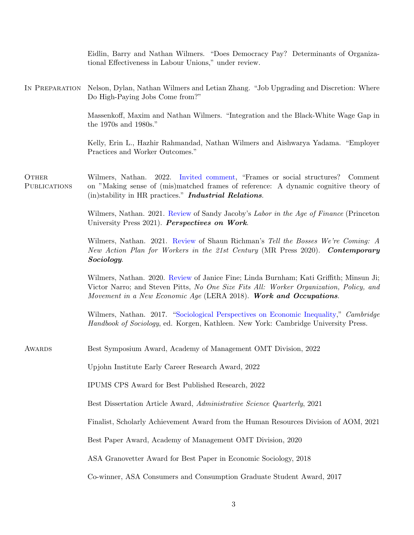|                       | Eidlin, Barry and Nathan Wilmers. "Does Democracy Pay? Determinants of Organiza-<br>tional Effectiveness in Labour Unions," under review.                                                                                                             |
|-----------------------|-------------------------------------------------------------------------------------------------------------------------------------------------------------------------------------------------------------------------------------------------------|
| IN PREPARATION        | Nelson, Dylan, Nathan Wilmers and Letian Zhang. "Job Upgrading and Discretion: Where<br>Do High-Paying Jobs Come from?"                                                                                                                               |
|                       | Massenkoff, Maxim and Nathan Wilmers. "Integration and the Black-White Wage Gap in<br>the 1970s and 1980s."                                                                                                                                           |
|                       | Kelly, Erin L., Hazhir Rahmandad, Nathan Wilmers and Aishwarya Yadama. "Employer<br>Practices and Worker Outcomes."                                                                                                                                   |
| OTHER<br>PUBLICATIONS | Wilmers, Nathan. 2022. Invited comment, "Frames or social structures?"<br>Comment<br>on "Making sense of (mis)matched frames of reference: A dynamic cognitive theory of<br>(in)stability in HR practices." <b>Industrial Relations.</b>              |
|                       | Wilmers, Nathan. 2021. Review of Sandy Jacoby's Labor in the Age of Finance (Princeton<br>University Press 2021). Perspectives on Work.                                                                                                               |
|                       | Wilmers, Nathan. 2021. Review of Shaun Richman's Tell the Bosses We're Coming: A<br>New Action Plan for Workers in the 21st Century (MR Press 2020). Contemporary<br>Sociology.                                                                       |
|                       | Wilmers, Nathan. 2020. Review of Janice Fine; Linda Burnham; Kati Griffith; Minsun Ji;<br>Victor Narro; and Steven Pitts, No One Size Fits All: Worker Organization, Policy, and<br>Movement in a New Economic Age (LERA 2018). Work and Occupations. |
|                       | Wilmers, Nathan. 2017. "Sociological Perspectives on Economic Inequality," Cambridge<br>Handbook of Sociology, ed. Korgen, Kathleen. New York: Cambridge University Press.                                                                            |
| <b>AWARDS</b>         | Best Symposium Award, Academy of Management OMT Division, 2022                                                                                                                                                                                        |
|                       | Upjohn Institute Early Career Research Award, 2022                                                                                                                                                                                                    |
|                       | IPUMS CPS Award for Best Published Research, 2022                                                                                                                                                                                                     |
|                       | Best Dissertation Article Award, Administrative Science Quarterly, 2021                                                                                                                                                                               |
|                       | Finalist, Scholarly Achievement Award from the Human Resources Division of AOM, 2021                                                                                                                                                                  |
|                       | Best Paper Award, Academy of Management OMT Division, 2020                                                                                                                                                                                            |
|                       | ASA Granovetter Award for Best Paper in Economic Sociology, 2018                                                                                                                                                                                      |
|                       | Co-winner, ASA Consumers and Consumption Graduate Student Award, 2017                                                                                                                                                                                 |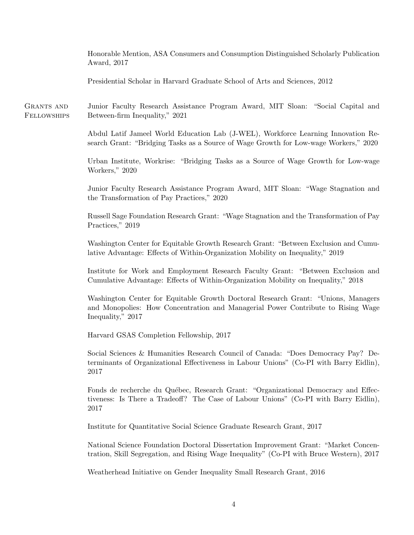Honorable Mention, ASA Consumers and Consumption Distinguished Scholarly Publication Award, 2017

Presidential Scholar in Harvard Graduate School of Arts and Sciences, 2012

GRANTS AND **FELLOWSHIPS** Junior Faculty Research Assistance Program Award, MIT Sloan: "Social Capital and Between-firm Inequality," 2021

> Abdul Latif Jameel World Education Lab (J-WEL), Workforce Learning Innovation Research Grant: "Bridging Tasks as a Source of Wage Growth for Low-wage Workers," 2020

> Urban Institute, Workrise: "Bridging Tasks as a Source of Wage Growth for Low-wage Workers," 2020

> Junior Faculty Research Assistance Program Award, MIT Sloan: "Wage Stagnation and the Transformation of Pay Practices," 2020

> Russell Sage Foundation Research Grant: "Wage Stagnation and the Transformation of Pay Practices," 2019

> Washington Center for Equitable Growth Research Grant: "Between Exclusion and Cumulative Advantage: Effects of Within-Organization Mobility on Inequality," 2019

> Institute for Work and Employment Research Faculty Grant: "Between Exclusion and Cumulative Advantage: Effects of Within-Organization Mobility on Inequality," 2018

> Washington Center for Equitable Growth Doctoral Research Grant: "Unions, Managers and Monopolies: How Concentration and Managerial Power Contribute to Rising Wage Inequality," 2017

Harvard GSAS Completion Fellowship, 2017

Social Sciences & Humanities Research Council of Canada: "Does Democracy Pay? Determinants of Organizational Effectiveness in Labour Unions" (Co-PI with Barry Eidlin), 2017

Fonds de recherche du Québec, Research Grant: "Organizational Democracy and Effectiveness: Is There a Tradeoff? The Case of Labour Unions" (Co-PI with Barry Eidlin), 2017

Institute for Quantitative Social Science Graduate Research Grant, 2017

National Science Foundation Doctoral Dissertation Improvement Grant: "Market Concentration, Skill Segregation, and Rising Wage Inequality" (Co-PI with Bruce Western), 2017

Weatherhead Initiative on Gender Inequality Small Research Grant, 2016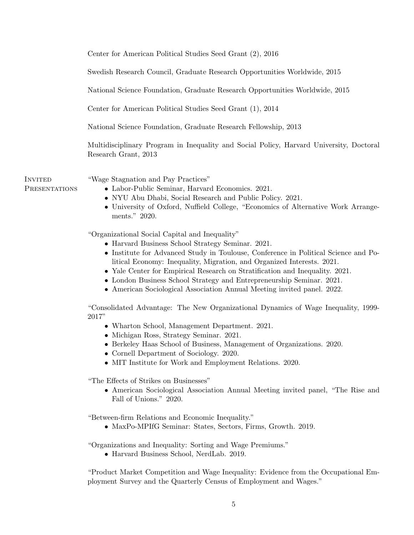|                          | Center for American Political Studies Seed Grant (2), 2016                                                                                                                                                                                                                                                                                                                                                                                                                                               |
|--------------------------|----------------------------------------------------------------------------------------------------------------------------------------------------------------------------------------------------------------------------------------------------------------------------------------------------------------------------------------------------------------------------------------------------------------------------------------------------------------------------------------------------------|
|                          | Swedish Research Council, Graduate Research Opportunities Worldwide, 2015                                                                                                                                                                                                                                                                                                                                                                                                                                |
|                          | National Science Foundation, Graduate Research Opportunities Worldwide, 2015                                                                                                                                                                                                                                                                                                                                                                                                                             |
|                          | Center for American Political Studies Seed Grant (1), 2014                                                                                                                                                                                                                                                                                                                                                                                                                                               |
|                          | National Science Foundation, Graduate Research Fellowship, 2013                                                                                                                                                                                                                                                                                                                                                                                                                                          |
|                          | Multidisciplinary Program in Inequality and Social Policy, Harvard University, Doctoral<br>Research Grant, 2013                                                                                                                                                                                                                                                                                                                                                                                          |
| INVITED<br>PRESENTATIONS | "Wage Stagnation and Pay Practices"<br>• Labor-Public Seminar, Harvard Economics. 2021.<br>• NYU Abu Dhabi, Social Research and Public Policy. 2021.<br>• University of Oxford, Nuffield College, "Economics of Alternative Work Arrange-<br>ments." 2020.                                                                                                                                                                                                                                               |
|                          | "Organizational Social Capital and Inequality"<br>• Harvard Business School Strategy Seminar. 2021.<br>• Institute for Advanced Study in Toulouse, Conference in Political Science and Po-<br>litical Economy: Inequality, Migration, and Organized Interests. 2021.<br>• Yale Center for Empirical Research on Stratification and Inequality. 2021.<br>• London Business School Strategy and Entrepreneurship Seminar. 2021.<br>• American Sociological Association Annual Meeting invited panel. 2022. |
|                          | "Consolidated Advantage: The New Organizational Dynamics of Wage Inequality, 1999-<br>2017"<br>• Wharton School, Management Department. 2021.<br>• Michigan Ross, Strategy Seminar. 2021.<br>• Berkeley Haas School of Business, Management of Organizations. 2020.<br>• Cornell Department of Sociology. 2020.<br>• MIT Institute for Work and Employment Relations. 2020.                                                                                                                              |
|                          | "The Effects of Strikes on Businesses"<br>• American Sociological Association Annual Meeting invited panel, "The Rise and<br>Fall of Unions." 2020.                                                                                                                                                                                                                                                                                                                                                      |
|                          | "Between-firm Relations and Economic Inequality."<br>• MaxPo-MPIfG Seminar: States, Sectors, Firms, Growth. 2019.                                                                                                                                                                                                                                                                                                                                                                                        |
|                          | "Organizations and Inequality: Sorting and Wage Premiums."<br>• Harvard Business School, NerdLab. 2019.                                                                                                                                                                                                                                                                                                                                                                                                  |
|                          | "Product Market Competition and Wage Inequality: Evidence from the Occupational Em-<br>ployment Survey and the Quarterly Census of Employment and Wages."                                                                                                                                                                                                                                                                                                                                                |
|                          |                                                                                                                                                                                                                                                                                                                                                                                                                                                                                                          |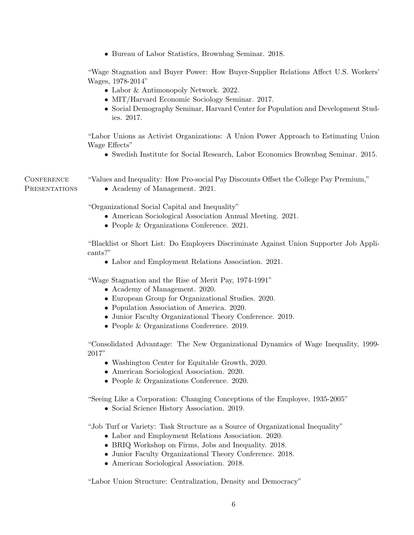• Bureau of Labor Statistics, Brownbag Seminar. 2018.

"Wage Stagnation and Buyer Power: How Buyer-Supplier Relations Affect U.S. Workers' Wages, 1978-2014"

- Labor & Antimonopoly Network. 2022.
- MIT/Harvard Economic Sociology Seminar. 2017.
- Social Demography Seminar, Harvard Center for Population and Development Studies. 2017.

"Labor Unions as Activist Organizations: A Union Power Approach to Estimating Union Wage Effects"

• Swedish Institute for Social Research, Labor Economics Brownbag Seminar. 2015.

**CONFERENCE PRESENTATIONS**  "Values and Inequality: How Pro-social Pay Discounts Offset the College Pay Premium," • Academy of Management. 2021.

"Organizational Social Capital and Inequality"

- American Sociological Association Annual Meeting. 2021.
- People & Organizations Conference. 2021.

"Blacklist or Short List: Do Employers Discriminate Against Union Supporter Job Applicants?"

• Labor and Employment Relations Association. 2021.

"Wage Stagnation and the Rise of Merit Pay, 1974-1991"

- Academy of Management. 2020.
- European Group for Organizational Studies. 2020.
- Population Association of America. 2020.
- Junior Faculty Organizational Theory Conference. 2019.
- People & Organizations Conference. 2019.

"Consolidated Advantage: The New Organizational Dynamics of Wage Inequality, 1999- 2017"

- Washington Center for Equitable Growth, 2020.
- American Sociological Association. 2020.
- People & Organizations Conference. 2020.

"Seeing Like a Corporation: Changing Conceptions of the Employee, 1935-2005"

• Social Science History Association. 2019.

"Job Turf or Variety: Task Structure as a Source of Organizational Inequality"

- Labor and Employment Relations Association. 2020.
- BRIQ Workshop on Firms, Jobs and Inequality. 2018.
- Junior Faculty Organizational Theory Conference. 2018.
- American Sociological Association. 2018.

"Labor Union Structure: Centralization, Density and Democracy"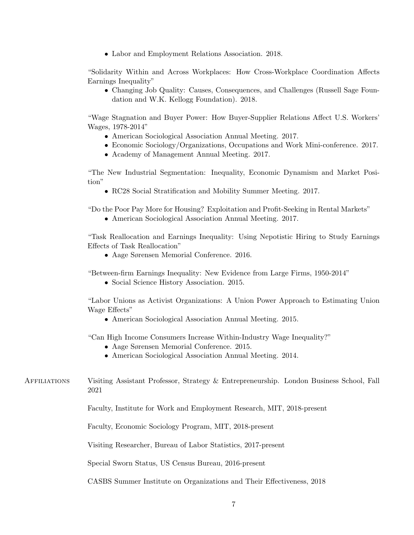• Labor and Employment Relations Association. 2018.

"Solidarity Within and Across Workplaces: How Cross-Workplace Coordination Affects Earnings Inequality"

• Changing Job Quality: Causes, Consequences, and Challenges (Russell Sage Foundation and W.K. Kellogg Foundation). 2018.

"Wage Stagnation and Buyer Power: How Buyer-Supplier Relations Affect U.S. Workers' Wages, 1978-2014"

- American Sociological Association Annual Meeting. 2017.
- Economic Sociology/Organizations, Occupations and Work Mini-conference. 2017.
- Academy of Management Annual Meeting. 2017.

"The New Industrial Segmentation: Inequality, Economic Dynamism and Market Position"

• RC28 Social Stratification and Mobility Summer Meeting. 2017.

"Do the Poor Pay More for Housing? Exploitation and Profit-Seeking in Rental Markets"

• American Sociological Association Annual Meeting. 2017.

"Task Reallocation and Earnings Inequality: Using Nepotistic Hiring to Study Earnings Effects of Task Reallocation"

• Aage Sørensen Memorial Conference. 2016.

"Between-firm Earnings Inequality: New Evidence from Large Firms, 1950-2014"

• Social Science History Association. 2015.

"Labor Unions as Activist Organizations: A Union Power Approach to Estimating Union Wage Effects"

• American Sociological Association Annual Meeting. 2015.

"Can High Income Consumers Increase Within-Industry Wage Inequality?"

- Aage Sørensen Memorial Conference. 2015.
- American Sociological Association Annual Meeting. 2014.
- Affiliations Visiting Assistant Professor, Strategy & Entrepreneurship. London Business School, Fall 2021

Faculty, Institute for Work and Employment Research, MIT, 2018-present

Faculty, Economic Sociology Program, MIT, 2018-present

Visiting Researcher, Bureau of Labor Statistics, 2017-present

Special Sworn Status, US Census Bureau, 2016-present

CASBS Summer Institute on Organizations and Their Effectiveness, 2018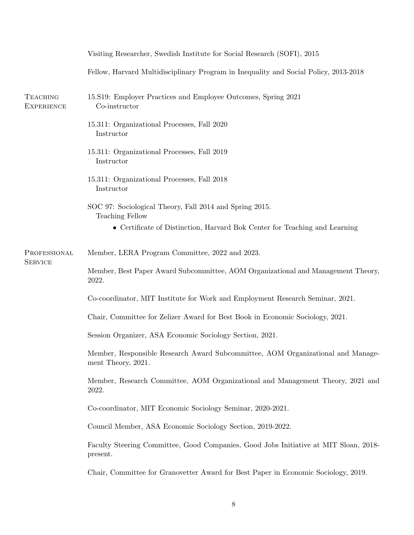|                                      | Visiting Researcher, Swedish Institute for Social Research (SOFI), 2015                               |
|--------------------------------------|-------------------------------------------------------------------------------------------------------|
|                                      | Fellow, Harvard Multidisciplinary Program in Inequality and Social Policy, 2013-2018                  |
| <b>TEACHING</b><br><b>EXPERIENCE</b> | 15. S19: Employer Practices and Employee Outcomes, Spring 2021<br>Co-instructor                       |
|                                      | 15.311: Organizational Processes, Fall 2020<br>Instructor                                             |
|                                      | 15.311: Organizational Processes, Fall 2019<br>Instructor                                             |
|                                      | 15.311: Organizational Processes, Fall 2018<br>Instructor                                             |
|                                      | SOC 97: Sociological Theory, Fall 2014 and Spring 2015.<br><b>Teaching Fellow</b>                     |
|                                      | • Certificate of Distinction, Harvard Bok Center for Teaching and Learning                            |
| PROFESSIONAL<br><b>SERVICE</b>       | Member, LERA Program Committee, 2022 and 2023.                                                        |
|                                      | Member, Best Paper Award Subcommittee, AOM Organizational and Management Theory,<br>2022.             |
|                                      | Co-coordinator, MIT Institute for Work and Employment Research Seminar, 2021.                         |
|                                      | Chair, Committee for Zelizer Award for Best Book in Economic Sociology, 2021.                         |
|                                      | Session Organizer, ASA Economic Sociology Section, 2021.                                              |
|                                      | Member, Responsible Research Award Subcommittee, AOM Organizational and Manage-<br>ment Theory, 2021. |
|                                      | Member, Research Committee, AOM Organizational and Management Theory, 2021 and<br>2022.               |
|                                      | Co-coordinator, MIT Economic Sociology Seminar, 2020-2021.                                            |
|                                      | Council Member, ASA Economic Sociology Section, 2019-2022.                                            |
|                                      | Faculty Steering Committee, Good Companies, Good Jobs Initiative at MIT Sloan, 2018-<br>present.      |
|                                      | Chair, Committee for Granovetter Award for Best Paper in Economic Sociology, 2019.                    |
|                                      |                                                                                                       |